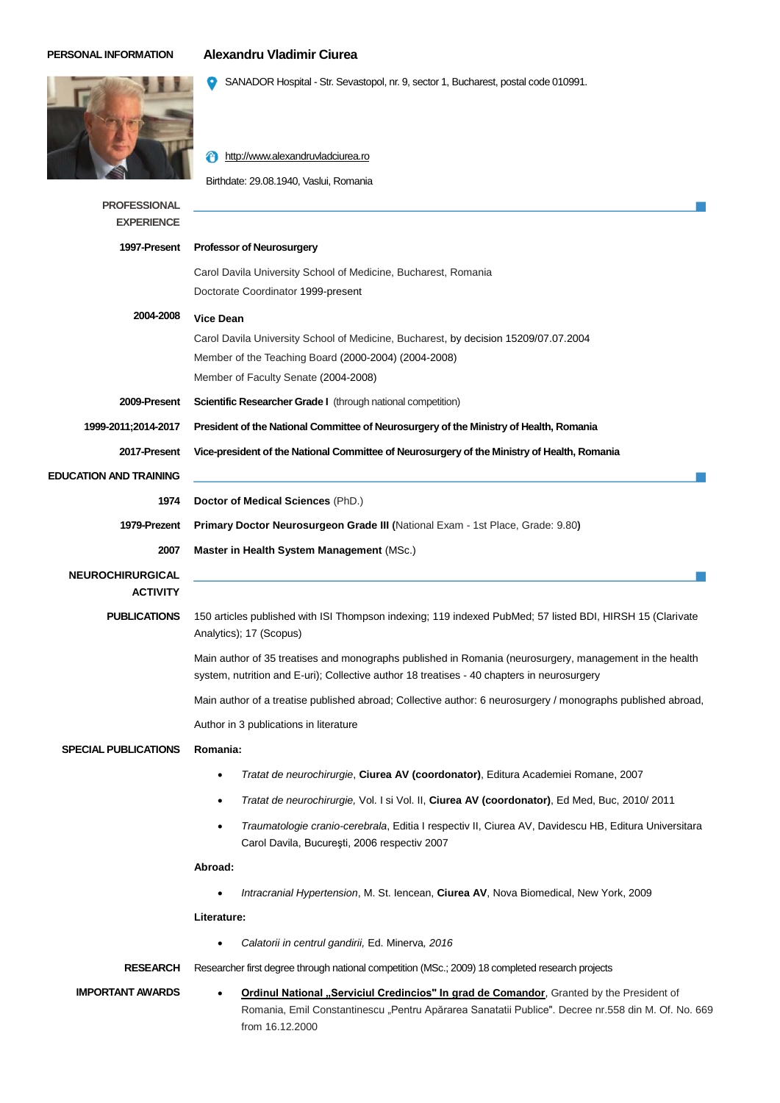## **PERSONAL INFORMATION Alexandru Vladimir Ciurea**

SANADOR Hospital - Str. Sevastopol, nr. 9, sector 1, Bucharest, postal code 010991.

**f** [http://www.alexandruvladciurea.ro](http://www.vladciurea.ro/) Birthdate: 29.08.1940, Vaslui, Romania **PROFESSIONAL EXPERIENCE 1997-Present Professor of Neurosurgery** Carol Davila University School of Medicine, Bucharest, Romania Doctorate Coordinator 1999-present **2004-2008 Vice Dean** Carol Davila University School of Medicine, Bucharest, by decision 15209/07.07.2004 Member of the Teaching Board (2000-2004) (2004-2008) Member of Faculty Senate (2004-2008) 2009-Present Scientific Researcher Grade I (through national competition) **1999-2011;2014-2017 2017-Present President of the National Committee of Neurosurgery of the Ministry of Health, Romania Vice-president of the National Committee of Neurosurgery of the Ministry of Health, Romania EDUCATION AND TRAINING 1974 Doctor of Medical Sciences** (PhD.) **1979-Prezent Primary Doctor Neurosurgeon Grade III (**National Exam - 1st Place, Grade: 9.80**) 2007 Master in Health System Management** (MSc.) **NEUROCHIRURGICAL ACTIVITY PUBLICATIONS** 150 articles published with ISI Thompson indexing; 119 indexed PubMed; 57 listed BDI, HIRSH 15 (Clarivate Analytics); 17 (Scopus) Main author of 35 treatises and monographs published in Romania (neurosurgery, management in the health system, nutrition and E-uri); Collective author 18 treatises - 40 chapters in neurosurgery Main author of a treatise published abroad; Collective author: 6 neurosurgery / monographs published abroad, Author in 3 publications in literature **SPECIAL PUBLICATIONS Romania:**  *Tratat de neurochirurgie*, **Ciurea AV (coordonator)**, Editura Academiei Romane, 2007 *Tratat de neurochirurgie,* Vol. I si Vol. II, **Ciurea AV (coordonator)**, Ed Med, Buc, 2010/ 2011 *Traumatologie cranio-cerebrala*, Editia I respectiv II, Ciurea AV, Davidescu HB, Editura Universitara Carol Davila, Bucureşti, 2006 respectiv 2007 **Abroad:** *Intracranial Hypertension*, M. St. Iencean, **Ciurea AV**, Nova Biomedical, New York, 2009 **Literature:** *Calatorii in centrul gandirii,* Ed. Minerva*, 2016* **RESEARCH** Researcher first degree through national competition (MSc.; 2009) 18 completed research projects **IMPORTANT AWARDS •** Ordinul National "Serviciul Credincios" In grad de Comandor, Granted by the President of Romania, Emil Constantinescu "Pentru Apărarea Sanatatii Publice". Decree nr.558 din M. Of. No. 669 from 16.12.2000